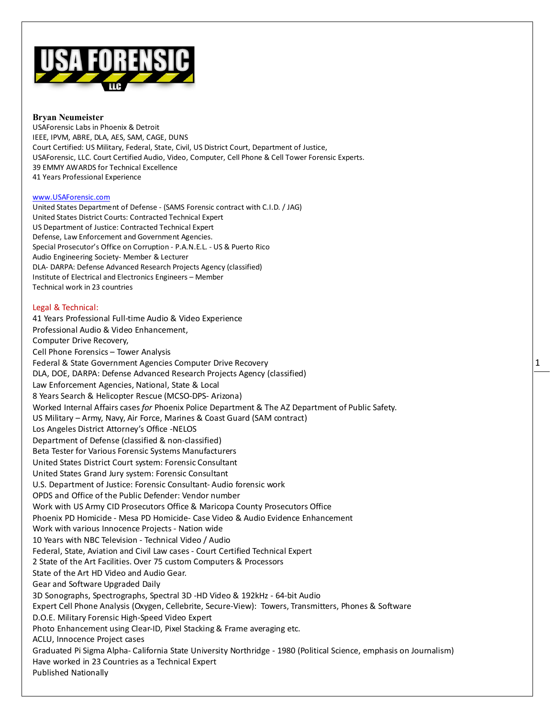

#### **Bryan Neumeister**

USAForensic Labs in Phoenix & Detroit IEEE, IPVM, ABRE, DLA, AES, SAM, CAGE, DUNS Court Certified: US Military, Federal, State, Civil, US District Court, Department of Justice, USAForensic, LLC. Court Certified Audio, Video, Computer, Cell Phone & Cell Tower Forensic Experts. 39 EMMY AWARDS for Technical Excellence 41 Years Professional Experience

#### [www.USAForensic.com](http://www.usaforensic.com/)

United States Department of Defense - (SAMS Forensic contract with C.I.D. / JAG) United States District Courts: Contracted Technical Expert US Department of Justice: Contracted Technical Expert Defense, Law Enforcement and Government Agencies. Special Prosecutor's Office on Corruption - P.A.N.E.L. - US & Puerto Rico Audio Engineering Society- Member & Lecturer DLA- DARPA: Defense Advanced Research Projects Agency (classified) Institute of Electrical and Electronics Engineers – Member Technical work in 23 countries

#### Legal & Technical:

41 Years Professional Full-time Audio & Video Experience Professional Audio & Video Enhancement, Computer Drive Recovery, Cell Phone Forensics – Tower Analysis Federal & State Government Agencies Computer Drive Recovery DLA, DOE, DARPA: Defense Advanced Research Projects Agency (classified) Law Enforcement Agencies, National, State & Local 8 Years Search & Helicopter Rescue (MCSO-DPS- Arizona) Worked Internal Affairs cases *for* Phoenix Police Department & The AZ Department of Public Safety. US Military – Army, Navy, Air Force, Marines & Coast Guard (SAM contract) Los Angeles District Attorney's Office -NELOS Department of Defense (classified & non-classified) Beta Tester for Various Forensic Systems Manufacturers United States District Court system: Forensic Consultant United States Grand Jury system: Forensic Consultant U.S. Department of Justice: Forensic Consultant- Audio forensic work OPDS and Office of the Public Defender: Vendor number Work with US Army CID Prosecutors Office & Maricopa County Prosecutors Office Phoenix PD Homicide - Mesa PD Homicide- Case Video & Audio Evidence Enhancement Work with various Innocence Projects - Nation wide 10 Years with NBC Television - Technical Video / Audio Federal, State, Aviation and Civil Law cases - Court Certified Technical Expert 2 State of the Art Facilities. Over 75 custom Computers & Processors State of the Art HD Video and Audio Gear. Gear and Software Upgraded Daily 3D Sonographs, Spectrographs, Spectral 3D -HD Video & 192kHz - 64-bit Audio Expert Cell Phone Analysis (Oxygen, Cellebrite, Secure-View): Towers, Transmitters, Phones & Software D.O.E. Military Forensic High-Speed Video Expert Photo Enhancement using Clear-ID, Pixel Stacking & Frame averaging etc. ACLU, Innocence Project cases Graduated Pi Sigma Alpha- California State University Northridge - 1980 (Political Science, emphasis on Journalism) Have worked in 23 Countries as a Technical Expert Published Nationally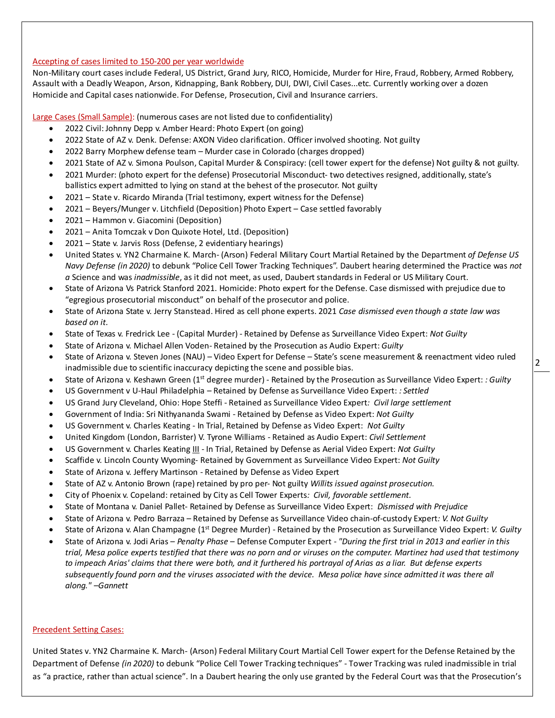# Accepting of cases limited to 150-200 per year worldwide

Non-Military court cases include Federal, US District, Grand Jury, RICO, Homicide, Murder for Hire, Fraud, Robbery, Armed Robbery, Assault with a Deadly Weapon, Arson, Kidnapping, Bank Robbery, DUI, DWI, Civil Cases...etc. Currently working over a dozen Homicide and Capital cases nationwide. For Defense, Prosecution, Civil and Insurance carriers.

Large Cases (Small Sample): (numerous cases are not listed due to confidentiality)

- 2022 Civil: Johnny Depp v. Amber Heard: Photo Expert (on going)
- 2022 State of AZ v. Denk. Defense: AXON Video clarification. Officer involved shooting. Not guilty
- 2022 Barry Morphew defense team Murder case in Colorado (charges dropped)
- 2021 State of AZ v. Simona Poulson, Capital Murder & Conspiracy: (cell tower expert for the defense) Not guilty & not guilty.
- 2021 Murder: (photo expert for the defense) Prosecutorial Misconduct- two detectives resigned, additionally, state's ballistics expert admitted to lying on stand at the behest of the prosecutor. Not guilty
- 2021 State v. Ricardo Miranda (Trial testimony, expert witness for the Defense)
- 2021 Beyers/Munger v. Litchfield (Deposition) Photo Expert Case settled favorably
- 2021 Hammon v. Giacomini (Deposition)
- 2021 Anita Tomczak v Don Quixote Hotel, Ltd. (Deposition)
- 2021 State v. Jarvis Ross (Defense, 2 evidentiary hearings)
- United States v. YN2 Charmaine K. March- (Arson) Federal Military Court Martial Retained by the Department *of Defense US Navy Defense (in 2020)* to debunk "Police Cell Tower Tracking Techniques". Daubert hearing determined the Practice was *not a* Science and was *inadmissible*, as it did not meet, as used, Daubert standards in Federal or US Military Court.
- State of Arizona Vs Patrick Stanford 2021. Homicide: Photo expert for the Defense. Case dismissed with prejudice due to "egregious prosecutorial misconduct" on behalf of the prosecutor and police.
- State of Arizona State v. Jerry Stanstead. Hired as cell phone experts. 2021 *Case dismissed even though a state law was based on it.*
- State of Texas v. Fredrick Lee (Capital Murder) Retained by Defense as Surveillance Video Expert: *Not Guilty*
- State of Arizona v. Michael Allen Voden- Retained by the Prosecution as Audio Expert: *Guilty*
- State of Arizona v. Steven Jones (NAU) Video Expert for Defense State's scene measurement & reenactment video ruled inadmissible due to scientific inaccuracy depicting the scene and possible bias.
- State of Arizona v. Keshawn Green (1st degree murder) Retained by the Prosecution as Surveillance Video Expert: *: Guilty*
- US Government v U-Haul Philadelphia Retained by Defense as Surveillance Video Expert: *: Settled*
- US Grand Jury Cleveland, Ohio: Hope Steffi Retained as Surveillance Video Expert*: Civil large settlement*
- Government of India: Sri Nithyananda Swami Retained by Defense as Video Expert: *Not Guilty*
- US Government v. Charles Keating In Trial, Retained by Defense as Video Expert: *Not Guilty*
- United Kingdom (London, Barrister) V. Tyrone Williams Retained as Audio Expert: *Civil Settlement*
- US Government v. Charles Keating III In Trial, Retained by Defense as Aerial Video Expert: *Not Guilty*
- Scaffide v. Lincoln County Wyoming- Retained by Government as Surveillance Video Expert: *Not Guilty*
- State of Arizona v. Jeffery Martinson Retained by Defense as Video Expert
- State of AZ v. Antonio Brown (rape) retained by pro per- Not guilty *Willits issued against prosecution.*
- City of Phoenix v. Copeland: retained by City as Cell Tower Experts*: Civil, favorable settlement.*
- State of Montana v. Daniel Pallet- Retained by Defense as Surveillance Video Expert: *Dismissed with Prejudice*
- State of Arizona v. Pedro Barraza Retained by Defense as Surveillance Video chain-of-custody Expert*: V. Not Guilty*
- State of Arizona v. Alan Champagne (1st Degree Murder) Retained by the Prosecution as Surveillance Video Expert: *V. Guilty*
- State of Arizona v. Jodi Arias *Penalty Phase* Defense Computer Expert *"During the first trial in 2013 and earlier in this trial, Mesa police experts testified that there was no porn and or viruses on the computer. Martinez had used that testimony to impeach Arias' claims that there were both, and it furthered his portrayal of Arias as a liar. But defense experts*  subsequently found porn and the viruses associated with the device. Mesa police have since admitted it was there all *along." –Gannett*

#### Precedent Setting Cases:

United States v. YN2 Charmaine K. March- (Arson) Federal Military Court Martial Cell Tower expert for the Defense Retained by the Department of Defense *(in 2020)* to debunk "Police Cell Tower Tracking techniques" - Tower Tracking was ruled inadmissible in trial as "a practice, rather than actual science". In a Daubert hearing the only use granted by the Federal Court was that the Prosecution's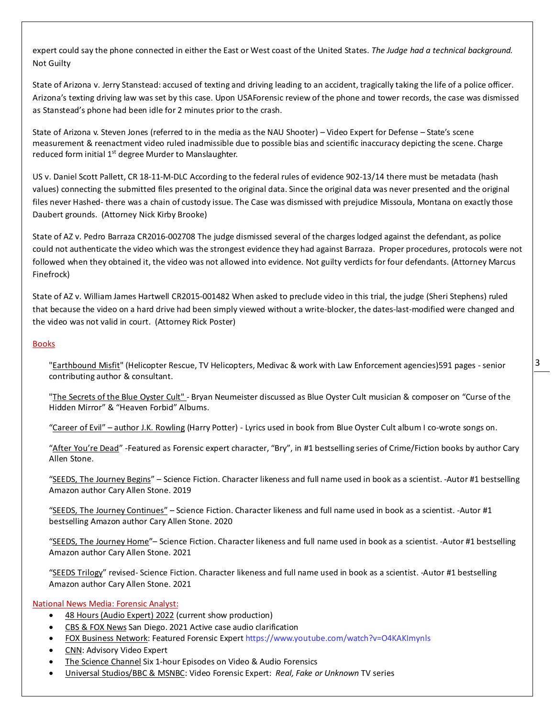expert could say the phone connected in either the East or West coast of the United States. *The Judge had a technical background.* Not Guilty

State of Arizona v. Jerry Stanstead: accused of texting and driving leading to an accident, tragically taking the life of a police officer. Arizona's texting driving law was set by this case. Upon USAForensic review of the phone and tower records, the case was dismissed as Stanstead's phone had been idle for 2 minutes prior to the crash.

State of Arizona v. Steven Jones (referred to in the media as the NAU Shooter) – Video Expert for Defense – State's scene measurement & reenactment video ruled inadmissible due to possible bias and scientific inaccuracy depicting the scene. Charge reduced form initial 1<sup>st</sup> degree Murder to Manslaughter.

US v. Daniel Scott Pallett, CR 18-11-M-DLC According to the federal rules of evidence 902-13/14 there must be metadata (hash values) connecting the submitted files presented to the original data. Since the original data was never presented and the original files never Hashed- there was a chain of custody issue. The Case was dismissed with prejudice Missoula, Montana on exactly those Daubert grounds. (Attorney Nick Kirby Brooke)

State of AZ v. Pedro Barraza CR2016-002708 The judge dismissed several of the charges lodged against the defendant, as police could not authenticate the video which was the strongest evidence they had against Barraza. Proper procedures, protocols were not followed when they obtained it, the video was not allowed into evidence. Not guilty verdicts for four defendants. (Attorney Marcus Finefrock)

State of AZ v. William James Hartwell CR2015-001482 When asked to preclude video in this trial, the judge (Sheri Stephens) ruled that because the video on a hard drive had been simply viewed without a write-blocker, the dates-last-modified were changed and the video was not valid in court. (Attorney Rick Poster)

## **Books**

"Earthbound Misfit" (Helicopter Rescue, TV Helicopters, Medivac & work with Law Enforcement agencies)591 pages - senior contributing author & consultant.

"The Secrets of the Blue Oyster Cult" - Bryan Neumeister discussed as Blue Oyster Cult musician & composer on "Curse of the Hidden Mirror" & "Heaven Forbid" Albums.

"Career of Evil" – author J.K. Rowling (Harry Potter) - Lyrics used in book from Blue Oyster Cult album I co-wrote songs on.

"After You're Dead" -Featured as Forensic expert character, "Bry", in #1 bestselling series of Crime/Fiction books by author Cary Allen Stone.

"SEEDS, The Journey Begins" - Science Fiction. Character likeness and full name used in book as a scientist. -Autor #1 bestselling Amazon author Cary Allen Stone. 2019

"SEEDS, The Journey Continues" – Science Fiction. Character likeness and full name used in book as a scientist. -Autor #1 bestselling Amazon author Cary Allen Stone. 2020

"SEEDS, The Journey Home"-Science Fiction. Character likeness and full name used in book as a scientist. -Autor #1 bestselling Amazon author Cary Allen Stone. 2021

"SEEDS Trilogy" revised- Science Fiction. Character likeness and full name used in book as a scientist. -Autor #1 bestselling Amazon author Cary Allen Stone. 2021

#### National News Media: Forensic Analyst:

- 48 Hours (Audio Expert) 2022 (current show production)
- CBS & FOX News San Diego. 2021 Active case audio clarification
- FOX Business Network: Featured Forensic Expert https://www.youtube.com/watch?v=O4KAKImynls
- CNN: Advisory Video Expert
- The Science Channel Six 1-hour Episodes on Video & Audio Forensics
- Universal Studios/BBC & MSNBC: Video Forensic Expert: *Real, Fake or Unknown* TV series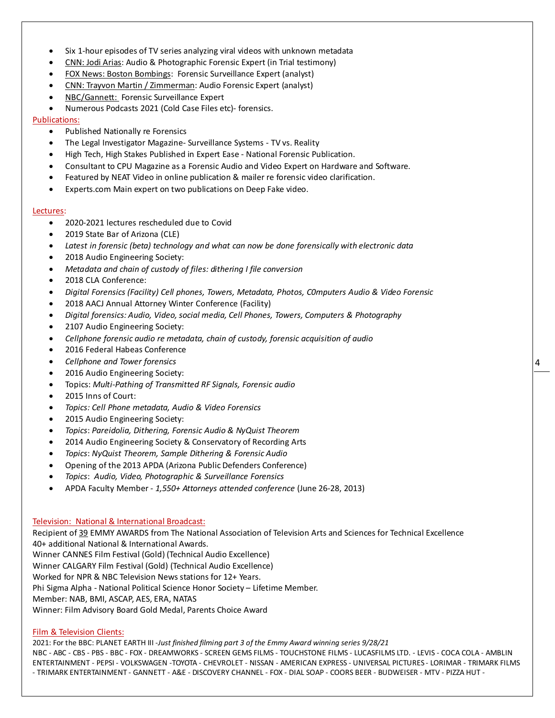- Six 1-hour episodes of TV series analyzing viral videos with unknown metadata
- CNN: Jodi Arias: Audio & Photographic Forensic Expert (in Trial testimony)
- FOX News: Boston Bombings: Forensic Surveillance Expert (analyst)
- CNN: Trayvon Martin / Zimmerman: Audio Forensic Expert (analyst)
- NBC/Gannett: Forensic Surveillance Expert
- Numerous Podcasts 2021 (Cold Case Files etc)- forensics.

# Publications:

- Published Nationally re Forensics
- The Legal Investigator Magazine- Surveillance Systems TV vs. Reality
- High Tech, High Stakes Published in Expert Ease National Forensic Publication.
- Consultant to CPU Magazine as a Forensic Audio and Video Expert on Hardware and Software.
- Featured by NEAT Video in online publication & mailer re forensic video clarification.
- Experts.com Main expert on two publications on Deep Fake video.

## Lectures:

- 2020-2021 lectures rescheduled due to Covid
- 2019 State Bar of Arizona (CLE)
- *Latest in forensic (beta) technology and what can now be done forensically with electronic data*
- 2018 Audio Engineering Society:
- *Metadata and chain of custody of files: dithering I file conversion*
- 2018 CLA Conference:
- *Digital Forensics (Facility) Cell phones, Towers, Metadata, Photos, C0mputers Audio & Video Forensic*
- 2018 AACJ Annual Attorney Winter Conference (Facility)
- *Digital forensics: Audio, Video, social media, Cell Phones, Towers, Computers & Photography*
- 2107 Audio Engineering Society:
- *Cellphone forensic audio re metadata, chain of custody, forensic acquisition of audio*
- 2016 Federal Habeas Conference
- *Cellphone and Tower forensics*
- 2016 Audio Engineering Society:
- Topics: *Multi-Pathing of Transmitted RF Signals, Forensic audio*
- 2015 Inns of Court:
- *Topics: Cell Phone metadata, Audio & Video Forensics*
- 2015 Audio Engineering Society:
- *Topics*: *Pareidolia, Dithering, Forensic Audio & NyQuist Theorem*
- 2014 Audio Engineering Society & Conservatory of Recording Arts
- *Topics*: *NyQuist Theorem, Sample Dithering & Forensic Audio*
- Opening of the 2013 APDA (Arizona Public Defenders Conference)
- *Topics*: *Audio, Video, Photographic & Surveillance Forensics*
- APDA Faculty Member *1,550+ Attorneys attended conference* (June 26-28, 2013)

# Television: National & International Broadcast:

Recipient of 39 EMMY AWARDS from The National Association of Television Arts and Sciences for Technical Excellence 40+ additional National & International Awards.

Winner CANNES Film Festival (Gold) (Technical Audio Excellence)

Winner CALGARY Film Festival (Gold) (Technical Audio Excellence)

Worked for NPR & NBC Television News stations for 12+ Years.

Phi Sigma Alpha - National Political Science Honor Society – Lifetime Member.

Member: NAB, BMI, ASCAP, AES, ERA, NATAS

Winner: Film Advisory Board Gold Medal, Parents Choice Award

# Film & Television Clients:

2021: For the BBC: PLANET EARTH III -*Just finished filming part 3 of the Emmy Award winning series 9/28/21*

NBC - ABC - CBS - PBS - BBC - FOX - DREAMWORKS - SCREEN GEMS FILMS - TOUCHSTONE FILMS - LUCASFILMS LTD. - LEVIS - COCA COLA - AMBLIN ENTERTAINMENT - PEPSI - VOLKSWAGEN -TOYOTA - CHEVROLET - NISSAN - AMERICAN EXPRESS - UNIVERSAL PICTURES - LORIMAR - TRIMARK FILMS - TRIMARK ENTERTAINMENT - GANNETT - A&E - DISCOVERY CHANNEL - FOX - DIAL SOAP - COORS BEER - BUDWEISER - MTV - PIZZA HUT -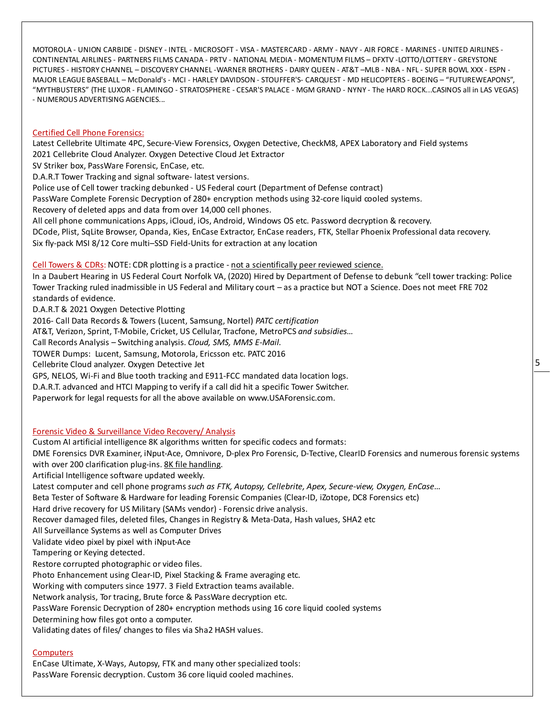MOTOROLA - UNION CARBIDE - DISNEY - INTEL - MICROSOFT - VISA - MASTERCARD - ARMY - NAVY - AIR FORCE - MARINES - UNITED AIRLINES - CONTINENTAL AIRLINES - PARTNERS FILMS CANADA - PRTV - NATIONAL MEDIA - MOMENTUM FILMS – DFXTV -LOTTO/LOTTERY - GREYSTONE PICTURES - HISTORY CHANNEL – DISCOVERY CHANNEL -WARNER BROTHERS - DAIRY QUEEN - AT&T –MLB - NBA - NFL - SUPER BOWL XXX - ESPN - MAJOR LEAGUE BASEBALL – McDonald's - MCI - HARLEY DAVIDSON - STOUFFER'S- CARQUEST - MD HELICOPTERS - BOEING – "FUTUREWEAPONS", "MYTHBUSTERS" {THE LUXOR - FLAMINGO - STRATOSPHERE - CESAR'S PALACE - MGM GRAND - NYNY - The HARD ROCK...CASINOS all in LAS VEGAS} - NUMEROUS ADVERTISING AGENCIES...

### Certified Cell Phone Forensics:

Latest Cellebrite Ultimate 4PC, Secure-View Forensics, Oxygen Detective, CheckM8, APEX Laboratory and Field systems 2021 Cellebrite Cloud Analyzer. Oxygen Detective Cloud Jet Extractor

SV Striker box, PassWare Forensic, EnCase, etc.

D.A.R.T Tower Tracking and signal software- latest versions.

Police use of Cell tower tracking debunked - US Federal court (Department of Defense contract)

PassWare Complete Forensic Decryption of 280+ encryption methods using 32-core liquid cooled systems.

Recovery of deleted apps and data from over 14,000 cell phones.

All cell phone communications Apps, iCloud, iOs, Android, Windows OS etc. Password decryption & recovery.

DCode, Plist, SqLite Browser, Opanda, Kies, EnCase Extractor, EnCase readers, FTK, Stellar Phoenix Professional data recovery. Six fly-pack MSI 8/12 Core multi–SSD Field-Units for extraction at any location

Cell Towers & CDRs: NOTE: CDR plotting is a practice - not a scientifically peer reviewed science.

In a Daubert Hearing in US Federal Court Norfolk VA, (2020) Hired by Department of Defense to debunk "cell tower tracking: Police Tower Tracking ruled inadmissible in US Federal and Military court – as a practice but NOT a Science. Does not meet FRE 702 standards of evidence.

D.A.R.T & 2021 Oxygen Detective Plotting

2016- Call Data Records & Towers (Lucent, Samsung, Nortel) *PATC certification*

AT&T, Verizon, Sprint, T-Mobile, Cricket, US Cellular, Tracfone, MetroPCS *and subsidies…*

Call Records Analysis – Switching analysis. *Cloud, SMS, MMS E-Mail.*

TOWER Dumps: Lucent, Samsung, Motorola, Ericsson etc. PATC 2016

Cellebrite Cloud analyzer. Oxygen Detective Jet

GPS, NELOS, Wi-Fi and Blue tooth tracking and E911-FCC mandated data location logs.

D.A.R.T. advanced and HTCI Mapping to verify if a call did hit a specific Tower Switcher.

Paperwork for legal requests for all the above available on www.USAForensic.com.

# Forensic Video & Surveillance Video Recovery/ Analysis

Custom AI artificial intelligence 8K algorithms written for specific codecs and formats: DME Forensics DVR Examiner, iNput-Ace, Omnivore, D-plex Pro Forensic, D-Tective, ClearID Forensics and numerous forensic systems with over 200 clarification plug-ins. 8K file handling. Artificial Intelligence software updated weekly. Latest computer and cell phone programs *such as FTK, Autopsy, Cellebrite, Apex, Secure-view, Oxygen, EnCase…* Beta Tester of Software & Hardware for leading Forensic Companies (Clear-ID, iZotope, DC8 Forensics etc) Hard drive recovery for US Military (SAMs vendor) - Forensic drive analysis. Recover damaged files, deleted files, Changes in Registry & Meta-Data, Hash values, SHA2 etc All Surveillance Systems as well as Computer Drives Validate video pixel by pixel with iNput-Ace Tampering or Keying detected. Restore corrupted photographic or video files. Photo Enhancement using Clear-ID, Pixel Stacking & Frame averaging etc. Working with computers since 1977. 3 Field Extraction teams available. Network analysis, Tor tracing, Brute force & PassWare decryption etc. PassWare Forensic Decryption of 280+ encryption methods using 16 core liquid cooled systems Determining how files got onto a computer. Validating dates of files/ changes to files via Sha2 HASH values.

#### **Computers**

EnCase Ultimate, X-Ways, Autopsy, FTK and many other specialized tools: PassWare Forensic decryption. Custom 36 core liquid cooled machines.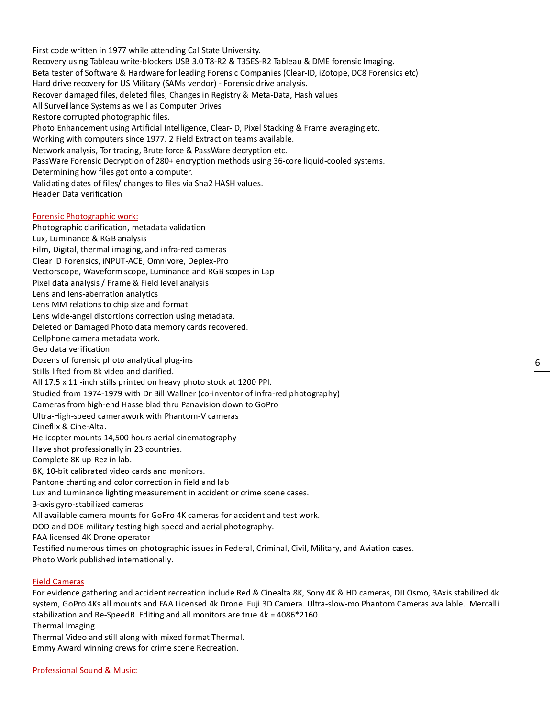First code written in 1977 while attending Cal State University. Recovery using Tableau write-blockers USB 3.0 T8-R2 & T35ES-R2 Tableau & DME forensic Imaging. Beta tester of Software & Hardware for leading Forensic Companies (Clear-ID, iZotope, DC8 Forensics etc) Hard drive recovery for US Military (SAMs vendor) - Forensic drive analysis. Recover damaged files, deleted files, Changes in Registry & Meta-Data, Hash values All Surveillance Systems as well as Computer Drives Restore corrupted photographic files. Photo Enhancement using Artificial Intelligence, Clear-ID, Pixel Stacking & Frame averaging etc. Working with computers since 1977. 2 Field Extraction teams available. Network analysis, Tor tracing, Brute force & PassWare decryption etc. PassWare Forensic Decryption of 280+ encryption methods using 36-core liquid-cooled systems. Determining how files got onto a computer. Validating dates of files/ changes to files via Sha2 HASH values. Header Data verification Forensic Photographic work:

Photographic clarification, metadata validation

Lux, Luminance & RGB analysis

Film, Digital, thermal imaging, and infra-red cameras

- Clear ID Forensics, iNPUT-ACE, Omnivore, Deplex-Pro
- Vectorscope, Waveform scope, Luminance and RGB scopes in Lap
- Pixel data analysis / Frame & Field level analysis
- Lens and lens-aberration analytics
- Lens MM relations to chip size and format
- Lens wide-angel distortions correction using metadata.
- Deleted or Damaged Photo data memory cards recovered.
- Cellphone camera metadata work.
- Geo data verification
- Dozens of forensic photo analytical plug-ins
- Stills lifted from 8k video and clarified.
- All 17.5 x 11 -inch stills printed on heavy photo stock at 1200 PPI.
- Studied from 1974-1979 with Dr Bill Wallner (co-inventor of infra-red photography)
- Cameras from high-end Hasselblad thru Panavision down to GoPro
- Ultra-High-speed camerawork with Phantom-V cameras
- Cineflix & Cine-Alta.
- Helicopter mounts 14,500 hours aerial cinematography
- Have shot professionally in 23 countries.
- Complete 8K up-Rez in lab.
- 8K, 10-bit calibrated video cards and monitors.
- Pantone charting and color correction in field and lab
- Lux and Luminance lighting measurement in accident or crime scene cases.
- 3-axis gyro-stabilized cameras
- All available camera mounts for GoPro 4K cameras for accident and test work.
- DOD and DOE military testing high speed and aerial photography.
- FAA licensed 4K Drone operator
- Testified numerous times on photographic issues in Federal, Criminal, Civil, Military, and Aviation cases.
- Photo Work published internationally.

### Field Cameras

For evidence gathering and accident recreation include Red & Cinealta 8K, Sony 4K & HD cameras, DJI Osmo, 3Axis stabilized 4k system, GoPro 4Ks all mounts and FAA Licensed 4k Drone. Fuji 3D Camera. Ultra-slow-mo Phantom Cameras available. Mercalli stabilization and Re-SpeedR. Editing and all monitors are true 4k = 4086\*2160. Thermal Imaging.

Thermal Video and still along with mixed format Thermal.

Emmy Award winning crews for crime scene Recreation.

Professional Sound & Music: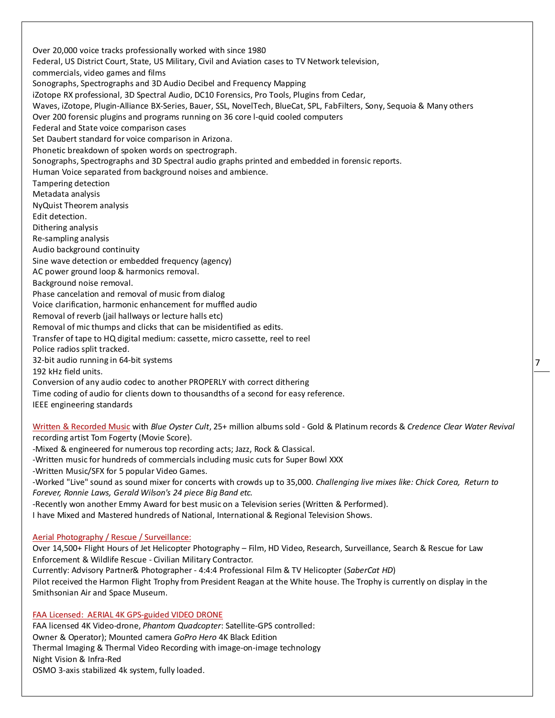Over 20,000 voice tracks professionally worked with since 1980 Federal, US District Court, State, US Military, Civil and Aviation cases to TV Network television, commercials, video games and films Sonographs, Spectrographs and 3D Audio Decibel and Frequency Mapping iZotope RX professional, 3D Spectral Audio, DC10 Forensics, Pro Tools, Plugins from Cedar, Waves, iZotope, Plugin-Alliance BX-Series, Bauer, SSL, NovelTech, BlueCat, SPL, FabFilters, Sony, Sequoia & Many others Over 200 forensic plugins and programs running on 36 core l-quid cooled computers Federal and State voice comparison cases Set Daubert standard for voice comparison in Arizona. Phonetic breakdown of spoken words on spectrograph. Sonographs, Spectrographs and 3D Spectral audio graphs printed and embedded in forensic reports. Human Voice separated from background noises and ambience. Tampering detection Metadata analysis NyQuist Theorem analysis Edit detection. Dithering analysis Re-sampling analysis Audio background continuity Sine wave detection or embedded frequency (agency) AC power ground loop & harmonics removal. Background noise removal. Phase cancelation and removal of music from dialog Voice clarification, harmonic enhancement for muffled audio Removal of reverb (jail hallways or lecture halls etc) Removal of mic thumps and clicks that can be misidentified as edits. Transfer of tape to HQ digital medium: cassette, micro cassette, reel to reel Police radios split tracked. 32-bit audio running in 64-bit systems 192 kHz field units. Conversion of any audio codec to another PROPERLY with correct dithering Time coding of audio for clients down to thousandths of a second for easy reference. IEEE engineering standards Written & Recorded Music with *Blue Oyster Cult*, 25+ million albums sold - Gold & Platinum records & *Credence Clear Water Revival*

recording artist Tom Fogerty (Movie Score).

-Mixed & engineered for numerous top recording acts; Jazz, Rock & Classical.

-Written music for hundreds of commercials including music cuts for Super Bowl XXX

-Written Music/SFX for 5 popular Video Games.

-Worked "Live" sound as sound mixer for concerts with crowds up to 35,000. *Challenging live mixes like: Chick Corea, Return to Forever, Ronnie Laws, Gerald Wilson's 24 piece Big Band etc.*

-Recently won another Emmy Award for best music on a Television series (Written & Performed).

I have Mixed and Mastered hundreds of National, International & Regional Television Shows.

#### Aerial Photography / Rescue / Surveillance:

Over 14,500+ Flight Hours of Jet Helicopter Photography – Film, HD Video, Research, Surveillance, Search & Rescue for Law Enforcement & Wildlife Rescue - Civilian Military Contractor.

Currently: Advisory Partner& Photographer - 4:4:4 Professional Film & TV Helicopter (*SaberCat HD*)

Pilot received the Harmon Flight Trophy from President Reagan at the White house. The Trophy is currently on display in the Smithsonian Air and Space Museum.

# FAA Licensed: AERIAL 4K GPS-guided VIDEO DRONE

FAA licensed 4K Video-drone, *Phantom Quadcopter*: Satellite-GPS controlled: Owner & Operator); Mounted camera *GoPro Hero* 4K Black Edition Thermal Imaging & Thermal Video Recording with image-on-image technology Night Vision & Infra-Red OSMO 3-axis stabilized 4k system, fully loaded.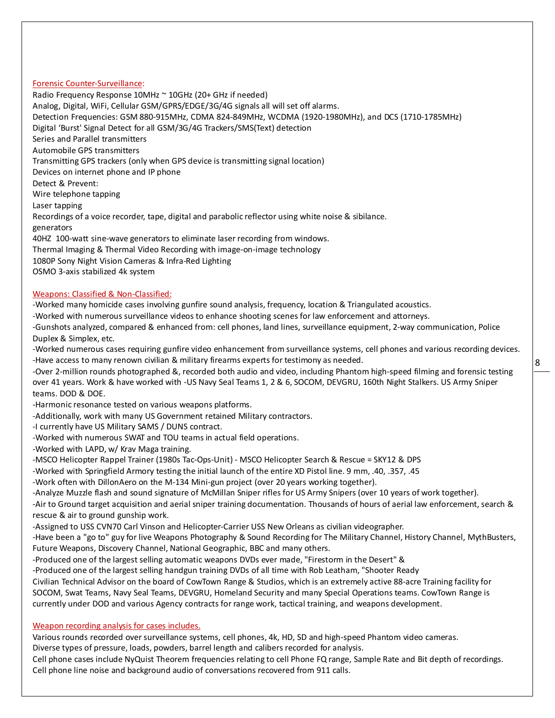### Forensic Counter-Surveillance:

Radio Frequency Response 10MHz ~ 10GHz (20+ GHz if needed) Analog, Digital, WiFi, Cellular GSM/GPRS/EDGE/3G/4G signals all will set off alarms. Detection Frequencies: GSM 880-915MHz, CDMA 824-849MHz, WCDMA (1920-1980MHz), and DCS (1710-1785MHz) Digital 'Burst' Signal Detect for all GSM/3G/4G Trackers/SMS(Text) detection Series and Parallel transmitters Automobile GPS transmitters Transmitting GPS trackers (only when GPS device is transmitting signal location) Devices on internet phone and IP phone Detect & Prevent: Wire telephone tapping Laser tapping Recordings of a voice recorder, tape, digital and parabolic reflector using white noise & sibilance. generators 40HZ 100-watt sine-wave generators to eliminate laser recording from windows. Thermal Imaging & Thermal Video Recording with image-on-image technology 1080P Sony Night Vision Cameras & Infra-Red Lighting OSMO 3-axis stabilized 4k system

## Weapons: Classified & Non-Classified:

-Worked many homicide cases involving gunfire sound analysis, frequency, location & Triangulated acoustics.

-Worked with numerous surveillance videos to enhance shooting scenes for law enforcement and attorneys.

-Gunshots analyzed, compared & enhanced from: cell phones, land lines, surveillance equipment, 2-way communication, Police Duplex & Simplex, etc.

-Worked numerous cases requiring gunfire video enhancement from surveillance systems, cell phones and various recording devices. -Have access to many renown civilian & military firearms experts for testimony as needed.

-Over 2-million rounds photographed &, recorded both audio and video, including Phantom high-speed filming and forensic testing over 41 years. Work & have worked with -US Navy Seal Teams 1, 2 & 6, SOCOM, DEVGRU, 160th Night Stalkers. US Army Sniper teams. DOD & DOE.

-Harmonic resonance tested on various weapons platforms.

-Additionally, work with many US Government retained Military contractors.

-I currently have US Military SAMS / DUNS contract.

-Worked with numerous SWAT and TOU teams in actual field operations.

-Worked with LAPD, w/ Krav Maga training.

-MSCO Helicopter Rappel Trainer (1980s Tac-Ops-Unit) - MSCO Helicopter Search & Rescue = SKY12 & DPS

-Worked with Springfield Armory testing the initial launch of the entire XD Pistol line. 9 mm, .40, .357, .45

-Work often with DillonAero on the M-134 Mini-gun project (over 20 years working together).

-Analyze Muzzle flash and sound signature of McMillan Sniper rifles for US Army Snipers (over 10 years of work together).

-Air to Ground target acquisition and aerial sniper training documentation. Thousands of hours of aerial law enforcement, search & rescue & air to ground gunship work.

-Assigned to USS CVN70 Carl Vinson and Helicopter-Carrier USS New Orleans as civilian videographer.

-Have been a "go to" guy for live Weapons Photography & Sound Recording for The Military Channel, History Channel, MythBusters, Future Weapons, Discovery Channel, National Geographic, BBC and many others.

-Produced one of the largest selling automatic weapons DVDs ever made, "Firestorm in the Desert" &

-Produced one of the largest selling handgun training DVDs of all time with Rob Leatham, "Shooter Ready

Civilian Technical Advisor on the board of CowTown Range & Studios, which is an extremely active 88-acre Training facility for SOCOM, Swat Teams, Navy Seal Teams, DEVGRU, Homeland Security and many Special Operations teams. CowTown Range is currently under DOD and various Agency contracts for range work, tactical training, and weapons development.

# Weapon recording analysis for cases includes.

Various rounds recorded over surveillance systems, cell phones, 4k, HD, SD and high-speed Phantom video cameras.

Diverse types of pressure, loads, powders, barrel length and calibers recorded for analysis.

Cell phone cases include NyQuist Theorem frequencies relating to cell Phone FQ range, Sample Rate and Bit depth of recordings. Cell phone line noise and background audio of conversations recovered from 911 calls.